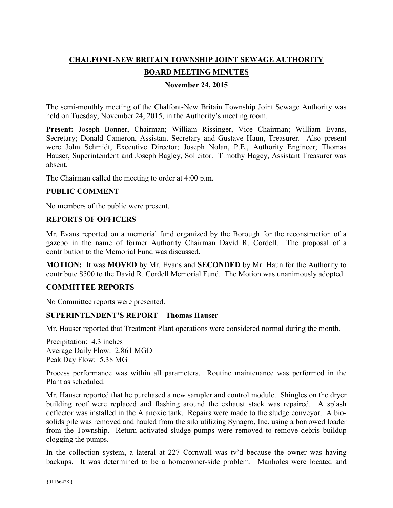# **CHALFONT-NEW BRITAIN TOWNSHIP JOINT SEWAGE AUTHORITY**

# **BOARD MEETING MINUTES**

# **November 24, 2015**

The semi-monthly meeting of the Chalfont-New Britain Township Joint Sewage Authority was held on Tuesday, November 24, 2015, in the Authority's meeting room.

**Present:** Joseph Bonner, Chairman; William Rissinger, Vice Chairman; William Evans, Secretary; Donald Cameron, Assistant Secretary and Gustave Haun, Treasurer. Also present were John Schmidt, Executive Director; Joseph Nolan, P.E., Authority Engineer; Thomas Hauser, Superintendent and Joseph Bagley, Solicitor. Timothy Hagey, Assistant Treasurer was absent.

The Chairman called the meeting to order at 4:00 p.m.

#### **PUBLIC COMMENT**

No members of the public were present.

#### **REPORTS OF OFFICERS**

Mr. Evans reported on a memorial fund organized by the Borough for the reconstruction of a gazebo in the name of former Authority Chairman David R. Cordell. The proposal of a contribution to the Memorial Fund was discussed.

**MOTION:** It was **MOVED** by Mr. Evans and **SECONDED** by Mr. Haun for the Authority to contribute \$500 to the David R. Cordell Memorial Fund. The Motion was unanimously adopted.

# **COMMITTEE REPORTS**

No Committee reports were presented.

#### **SUPERINTENDENT'S REPORT – Thomas Hauser**

Mr. Hauser reported that Treatment Plant operations were considered normal during the month.

Precipitation: 4.3 inches Average Daily Flow: 2.861 MGD Peak Day Flow: 5.38 MG

Process performance was within all parameters. Routine maintenance was performed in the Plant as scheduled.

Mr. Hauser reported that he purchased a new sampler and control module. Shingles on the dryer building roof were replaced and flashing around the exhaust stack was repaired. A splash deflector was installed in the A anoxic tank. Repairs were made to the sludge conveyor. A biosolids pile was removed and hauled from the silo utilizing Synagro, Inc. using a borrowed loader from the Township. Return activated sludge pumps were removed to remove debris buildup clogging the pumps.

In the collection system, a lateral at 227 Cornwall was tv'd because the owner was having backups. It was determined to be a homeowner-side problem. Manholes were located and